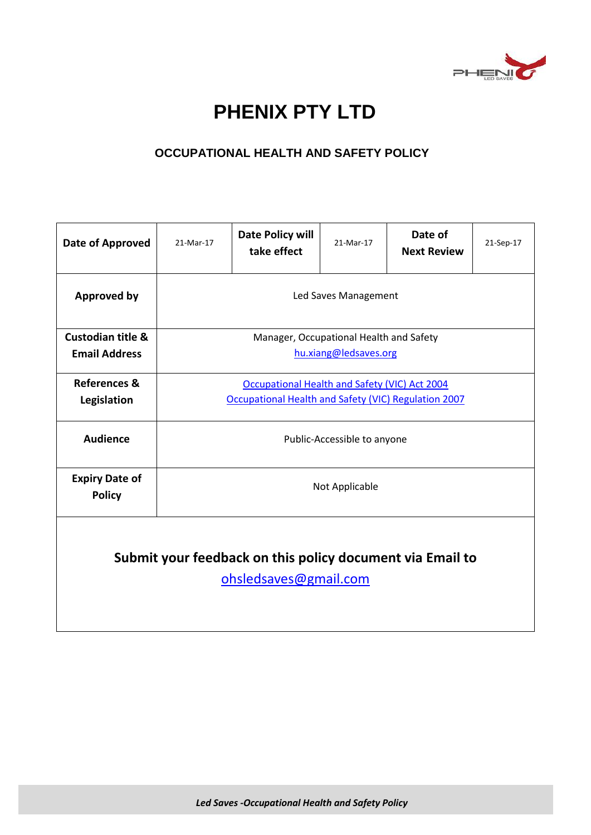

# **PHENIX PTY LTD**

## **OCCUPATIONAL HEALTH AND SAFETY POLICY**

| Date of Approved                                                                   | 21-Mar-17                                            | Date Policy will<br>take effect | 21-Mar-17 | Date of<br><b>Next Review</b> | 21-Sep-17 |
|------------------------------------------------------------------------------------|------------------------------------------------------|---------------------------------|-----------|-------------------------------|-----------|
| <b>Approved by</b>                                                                 | Led Saves Management                                 |                                 |           |                               |           |
| <b>Custodian title &amp;</b>                                                       | Manager, Occupational Health and Safety              |                                 |           |                               |           |
| <b>Email Address</b>                                                               | hu.xiang@ledsaves.org                                |                                 |           |                               |           |
| <b>References &amp;</b>                                                            | Occupational Health and Safety (VIC) Act 2004        |                                 |           |                               |           |
| Legislation                                                                        | Occupational Health and Safety (VIC) Regulation 2007 |                                 |           |                               |           |
| <b>Audience</b>                                                                    | Public-Accessible to anyone                          |                                 |           |                               |           |
| <b>Expiry Date of</b><br><b>Policy</b>                                             | Not Applicable                                       |                                 |           |                               |           |
| Submit your feedback on this policy document via Email to<br>ohsledsaves@gmail.com |                                                      |                                 |           |                               |           |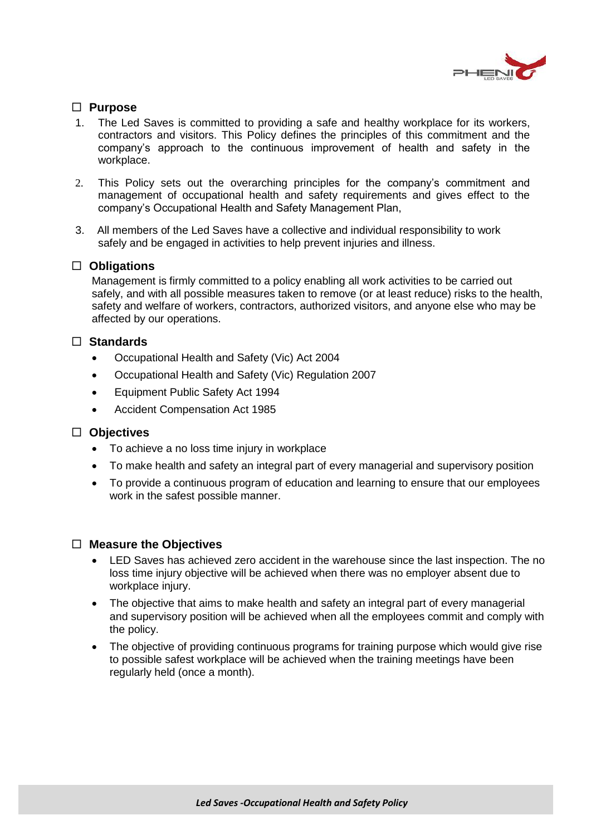

## **Purpose**

- 1. The Led Saves is committed to providing a safe and healthy workplace for its workers, contractors and visitors. This Policy defines the principles of this commitment and the company's approach to the continuous improvement of health and safety in the workplace.
- 2. This Policy sets out the overarching principles for the company's commitment and management of occupational health and safety requirements and gives effect to the company's Occupational Health and Safety Management Plan,
- 3. All members of the Led Saves have a collective and individual responsibility to work safely and be engaged in activities to help prevent injuries and illness.

#### **Obligations**

Management is firmly committed to a policy enabling all work activities to be carried out safely, and with all possible measures taken to remove (or at least reduce) risks to the health, safety and welfare of workers, contractors, authorized visitors, and anyone else who may be affected by our operations.

#### **Standards**

- Occupational Health and Safety (Vic) Act 2004
- Occupational Health and Safety (Vic) Regulation 2007
- Equipment Public Safety Act 1994
- Accident Compensation Act 1985

## **Objectives**

- To achieve a no loss time injury in workplace
- To make health and safety an integral part of every managerial and supervisory position
- To provide a continuous program of education and learning to ensure that our employees work in the safest possible manner.

#### **Measure the Objectives**

- LED Saves has achieved zero accident in the warehouse since the last inspection. The no loss time injury objective will be achieved when there was no employer absent due to workplace injury.
- The objective that aims to make health and safety an integral part of every managerial and supervisory position will be achieved when all the employees commit and comply with the policy.
- The objective of providing continuous programs for training purpose which would give rise to possible safest workplace will be achieved when the training meetings have been regularly held (once a month).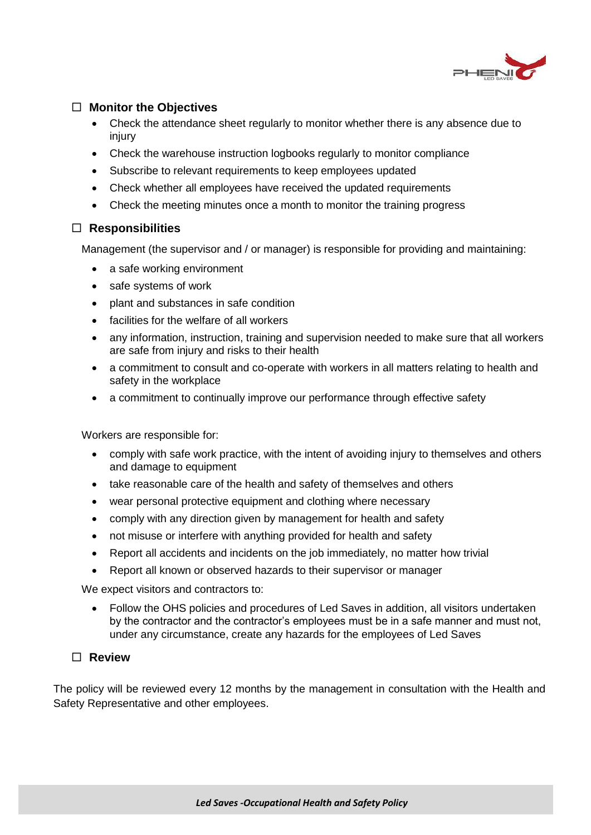

## **Monitor the Objectives**

- Check the attendance sheet regularly to monitor whether there is any absence due to injury
- Check the warehouse instruction logbooks regularly to monitor compliance
- Subscribe to relevant requirements to keep employees updated
- Check whether all employees have received the updated requirements
- Check the meeting minutes once a month to monitor the training progress

## **Responsibilities**

Management (the supervisor and / or manager) is responsible for providing and maintaining:

- a safe working environment
- safe systems of work
- plant and substances in safe condition
- facilities for the welfare of all workers
- any information, instruction, training and supervision needed to make sure that all workers are safe from injury and risks to their health
- a commitment to consult and co-operate with workers in all matters relating to health and safety in the workplace
- a commitment to continually improve our performance through effective safety

Workers are responsible for:

- comply with safe work practice, with the intent of avoiding injury to themselves and others and damage to equipment
- take reasonable care of the health and safety of themselves and others
- wear personal protective equipment and clothing where necessary
- comply with any direction given by management for health and safety
- not misuse or interfere with anything provided for health and safety
- Report all accidents and incidents on the job immediately, no matter how trivial
- Report all known or observed hazards to their supervisor or manager

We expect visitors and contractors to:

 Follow the OHS policies and procedures of Led Saves in addition, all visitors undertaken by the contractor and the contractor's employees must be in a safe manner and must not, under any circumstance, create any hazards for the employees of Led Saves

## **Review**

The policy will be reviewed every 12 months by the management in consultation with the Health and Safety Representative and other employees.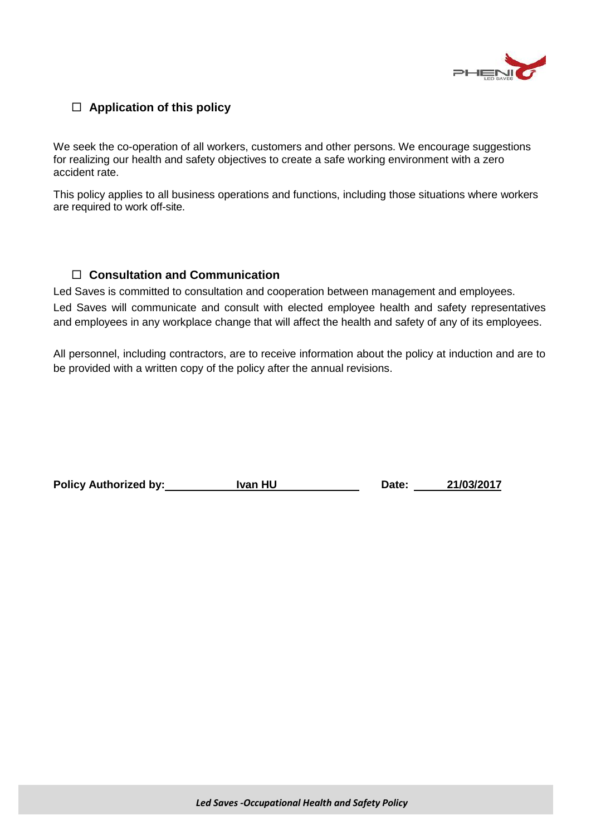

## **Application of this policy**

We seek the co-operation of all workers, customers and other persons. We encourage suggestions for realizing our health and safety objectives to create a safe working environment with a zero accident rate.

This policy applies to all business operations and functions, including those situations where workers are required to work off-site.

## **Consultation and Communication**

Led Saves is committed to consultation and cooperation between management and employees. Led Saves will communicate and consult with elected employee health and safety representatives and employees in any workplace change that will affect the health and safety of any of its employees.

All personnel, including contractors, are to receive information about the policy at induction and are to be provided with a written copy of the policy after the annual revisions.

Policy Authorized by: Ivan HU Date: 21/03/2017